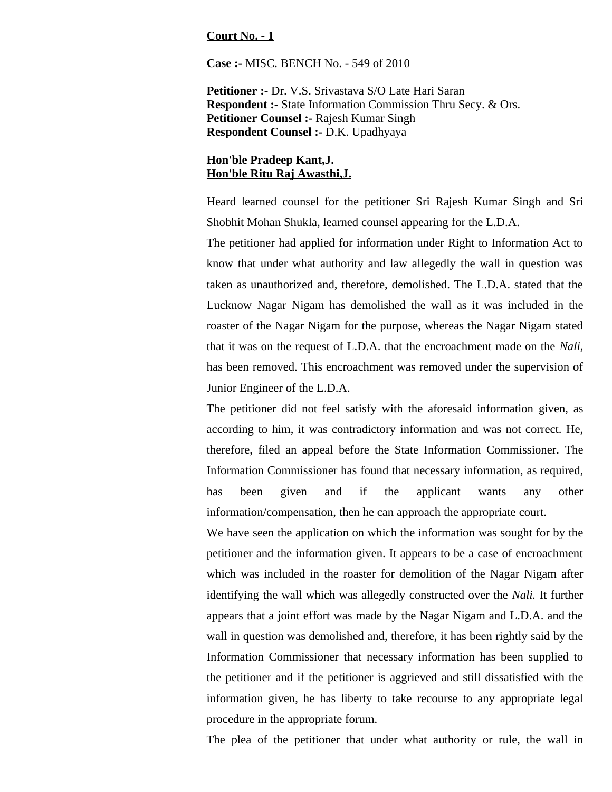## **Court No. - 1**

**Case :-** MISC. BENCH No. - 549 of 2010

**Petitioner :-** Dr. V.S. Srivastava S/O Late Hari Saran **Respondent :-** State Information Commission Thru Secy. & Ors. **Petitioner Counsel :-** Rajesh Kumar Singh **Respondent Counsel :-** D.K. Upadhyaya

## **Hon'ble Pradeep Kant,J. Hon'ble Ritu Raj Awasthi,J.**

Heard learned counsel for the petitioner Sri Rajesh Kumar Singh and Sri Shobhit Mohan Shukla, learned counsel appearing for the L.D.A.

The petitioner had applied for information under Right to Information Act to know that under what authority and law allegedly the wall in question was taken as unauthorized and, therefore, demolished. The L.D.A. stated that the Lucknow Nagar Nigam has demolished the wall as it was included in the roaster of the Nagar Nigam for the purpose, whereas the Nagar Nigam stated that it was on the request of L.D.A. that the encroachment made on the *Nali,* has been removed. This encroachment was removed under the supervision of Junior Engineer of the L.D.A.

The petitioner did not feel satisfy with the aforesaid information given, as according to him, it was contradictory information and was not correct. He, therefore, filed an appeal before the State Information Commissioner. The Information Commissioner has found that necessary information, as required, has been given and if the applicant wants any other information/compensation, then he can approach the appropriate court.

We have seen the application on which the information was sought for by the petitioner and the information given. It appears to be a case of encroachment which was included in the roaster for demolition of the Nagar Nigam after identifying the wall which was allegedly constructed over the *Nali.* It further appears that a joint effort was made by the Nagar Nigam and L.D.A. and the wall in question was demolished and, therefore, it has been rightly said by the Information Commissioner that necessary information has been supplied to the petitioner and if the petitioner is aggrieved and still dissatisfied with the information given, he has liberty to take recourse to any appropriate legal procedure in the appropriate forum.

The plea of the petitioner that under what authority or rule, the wall in